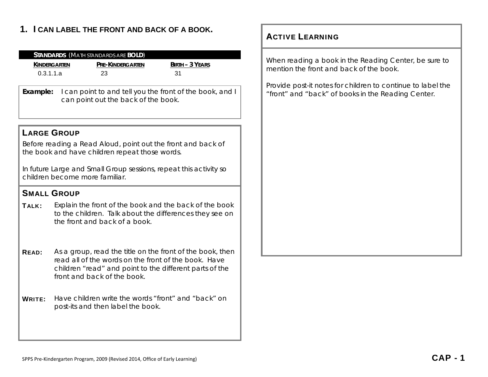## **1. I CAN LABEL THE FRONT AND BACK OF A BOOK.**

|               | <b>STANDARDS</b> (MATH STANDARDS ARE <b>BOLD</b> )                                                                                                                                                          |                                                                                          |                        |  |  |
|---------------|-------------------------------------------------------------------------------------------------------------------------------------------------------------------------------------------------------------|------------------------------------------------------------------------------------------|------------------------|--|--|
|               | <b>KINDERGARTEN</b><br>PRE-KINDERGARTEN                                                                                                                                                                     |                                                                                          | <b>BIRTH - 3 YEARS</b> |  |  |
| 0.3.1.1.a     | 23                                                                                                                                                                                                          |                                                                                          | 31                     |  |  |
| Example:      | I can point to and tell you the front of the book, and I<br>can point out the back of the book.                                                                                                             |                                                                                          |                        |  |  |
|               | <b>LARGE GROUP</b>                                                                                                                                                                                          |                                                                                          |                        |  |  |
|               | Before reading a Read Aloud, point out the front and back of<br>the book and have children repeat those words.                                                                                              |                                                                                          |                        |  |  |
|               | In future Large and Small Group sessions, repeat this activity so<br>children become more familiar.                                                                                                         |                                                                                          |                        |  |  |
|               | <b>SMALL GROUP</b>                                                                                                                                                                                          |                                                                                          |                        |  |  |
| TALK:         | Explain the front of the book and the back of the book<br>to the children. Talk about the differences they see on<br>the front and back of a book.                                                          |                                                                                          |                        |  |  |
| <b>READ:</b>  | As a group, read the title on the front of the book, then<br>read all of the words on the front of the book. Have<br>children "read" and point to the different parts of the<br>front and back of the book. |                                                                                          |                        |  |  |
| <b>WRITE:</b> |                                                                                                                                                                                                             | Have children write the words "front" and "back" on<br>post-its and then label the book. |                        |  |  |

## ACTIVE LEARNING

When reading a book in the Reading Center, be sure to mention the front and back of the book.

Provide post-it notes for children to continue to label the "front" and "back" of books in the Reading Center.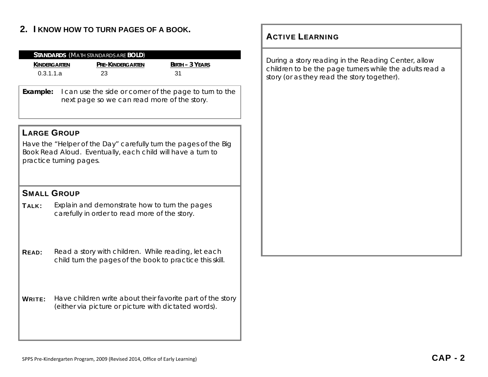## **2. I KNOW HOW TO TURN PAGES OF A BOOK.**

|               | <b>STANDARDS</b> (MATH STANDARDS ARE <b>BOLD</b> )                                             |                  |  |                                                                  |  |
|---------------|------------------------------------------------------------------------------------------------|------------------|--|------------------------------------------------------------------|--|
|               | <b>KINDERGARTEN</b>                                                                            | PRE-KINDERGARTEN |  | <b>BIRTH - 3 YEARS</b>                                           |  |
| 0.3.1.1.a     |                                                                                                | 23               |  | 31                                                               |  |
|               |                                                                                                |                  |  |                                                                  |  |
| Example:      |                                                                                                |                  |  | I can use the side or corner of the page to turn to the          |  |
|               |                                                                                                |                  |  | next page so we can read more of the story.                      |  |
|               |                                                                                                |                  |  |                                                                  |  |
|               |                                                                                                |                  |  |                                                                  |  |
|               | <b>LARGE GROUP</b>                                                                             |                  |  |                                                                  |  |
|               |                                                                                                |                  |  | Have the "Helper of the Day" carefully turn the pages of the Big |  |
|               | practice turning pages.                                                                        |                  |  | Book Read Aloud. Eventually, each child will have a turn to      |  |
|               |                                                                                                |                  |  |                                                                  |  |
|               |                                                                                                |                  |  |                                                                  |  |
|               | <b>SMALL GROUP</b>                                                                             |                  |  |                                                                  |  |
|               |                                                                                                |                  |  |                                                                  |  |
| TALK:         | Explain and demonstrate how to turn the pages<br>carefully in order to read more of the story. |                  |  |                                                                  |  |
|               |                                                                                                |                  |  |                                                                  |  |
|               |                                                                                                |                  |  |                                                                  |  |
|               |                                                                                                |                  |  |                                                                  |  |
| <b>READ:</b>  |                                                                                                |                  |  | Read a story with children. While reading, let each              |  |
|               |                                                                                                |                  |  | child turn the pages of the book to practice this skill.         |  |
|               |                                                                                                |                  |  |                                                                  |  |
|               |                                                                                                |                  |  |                                                                  |  |
|               |                                                                                                |                  |  |                                                                  |  |
| <b>WRITE:</b> |                                                                                                |                  |  | Have children write about their favorite part of the story       |  |
|               |                                                                                                |                  |  | (either via picture or picture with dictated words).             |  |
|               |                                                                                                |                  |  |                                                                  |  |
|               |                                                                                                |                  |  |                                                                  |  |

### ACTIVE LEARNING

During a story reading in the Reading Center, allow children to be the page turners while the adults read a story (or as they read the story together).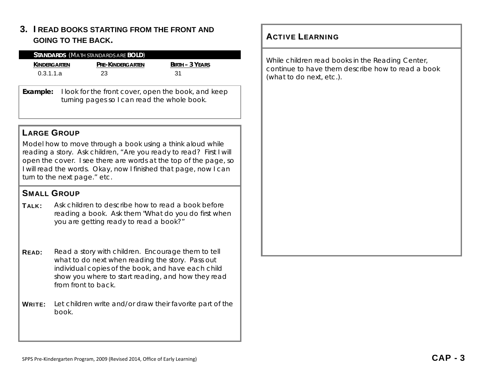## **3. I READ BOOKS STARTING FROM THE FRONT AND GOING TO THE BACK.**

|               |                                                                                                                                                                                                                                                                                                           | <b>STANDARDS</b> (MATH STANDARDS ARE <b>BOLD</b> ) |  |                                                                                                           |  |  |
|---------------|-----------------------------------------------------------------------------------------------------------------------------------------------------------------------------------------------------------------------------------------------------------------------------------------------------------|----------------------------------------------------|--|-----------------------------------------------------------------------------------------------------------|--|--|
|               | <b>KINDERGARTEN</b>                                                                                                                                                                                                                                                                                       | PRE-KINDERGARTEN                                   |  | <b>BIRTH - 3 YEARS</b>                                                                                    |  |  |
|               | 0.3.1.1.a                                                                                                                                                                                                                                                                                                 | 23                                                 |  | 31                                                                                                        |  |  |
| Example:      | I look for the front cover, open the book, and keep<br>turning pages so I can read the whole book.                                                                                                                                                                                                        |                                                    |  |                                                                                                           |  |  |
|               | <b>LARGE GROUP</b>                                                                                                                                                                                                                                                                                        |                                                    |  |                                                                                                           |  |  |
|               | Model how to move through a book using a think aloud while<br>reading a story. Ask children, "Are you ready to read? First I will<br>open the cover. I see there are words at the top of the page, so<br>I will read the words. Okay, now I finished that page, now I can<br>turn to the next page." etc. |                                                    |  |                                                                                                           |  |  |
|               | <b>SMALL GROUP</b>                                                                                                                                                                                                                                                                                        |                                                    |  |                                                                                                           |  |  |
| TALK:         |                                                                                                                                                                                                                                                                                                           | you are getting ready to read a book?"             |  | Ask children to describe how to read a book before<br>reading a book. Ask them "What do you do first when |  |  |
| <b>READ:</b>  | Read a story with children. Encourage them to tell<br>what to do next when reading the story. Pass out<br>individual copies of the book, and have each child<br>show you where to start reading, and how they read<br>from front to back.                                                                 |                                                    |  |                                                                                                           |  |  |
| <b>WRITE:</b> | book.                                                                                                                                                                                                                                                                                                     |                                                    |  | Let children write and/or draw their favorite part of the                                                 |  |  |

## ACTIVE LEARNING

While children read books in the Reading Center, continue to have them describe how to read a book (what to do next, etc.).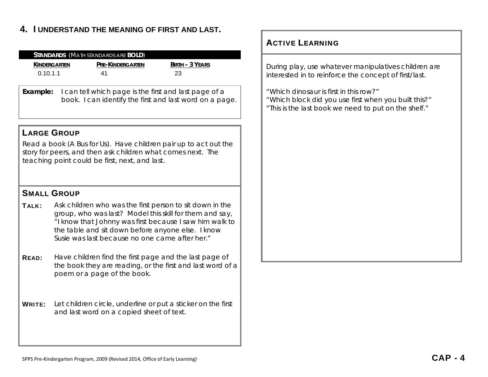### **4. I UNDERSTAND THE MEANING OF FIRST AND LAST.**

|               | <b>KINDERGARTEN</b><br>0.10.1.1                                      | <b>PRE-KINDERGARTEN</b><br>41                                                                                    | <b>BIRTH - 3 YEARS</b><br>23                                                                                                                                                                                                                                                          |  |  |  |  |
|---------------|----------------------------------------------------------------------|------------------------------------------------------------------------------------------------------------------|---------------------------------------------------------------------------------------------------------------------------------------------------------------------------------------------------------------------------------------------------------------------------------------|--|--|--|--|
| Example:      |                                                                      | I can tell which page is the first and last page of a<br>book. I can identify the first and last word on a page. |                                                                                                                                                                                                                                                                                       |  |  |  |  |
|               | <b>LARGE GROUP</b><br>teaching point could be first, next, and last. |                                                                                                                  | Read a book (A Bus for Us). Have children pair up to act out the<br>story for peers, and then ask children what comes next. The                                                                                                                                                       |  |  |  |  |
|               | <b>SMALL GROUP</b>                                                   |                                                                                                                  |                                                                                                                                                                                                                                                                                       |  |  |  |  |
| TALK:         |                                                                      |                                                                                                                  | Ask children who was the first person to sit down in the<br>group, who was last? Model this skill for them and say,<br>"I know that Johnny was first because I saw him walk to<br>the table and sit down before anyone else. I know<br>Susie was last because no one came after her." |  |  |  |  |
| <b>READ:</b>  | poem or a page of the book.                                          |                                                                                                                  | Have children find the first page and the last page of<br>the book they are reading, or the first and last word of a                                                                                                                                                                  |  |  |  |  |
| <b>WRITE:</b> | and last word on a copied sheet of text.                             |                                                                                                                  | Let children circle, underline or put a sticker on the first                                                                                                                                                                                                                          |  |  |  |  |

### ACTIVE LEARNING

During play, use whatever manipulatives children are interested in to reinforce the concept of first/last.

*"Which dinosaur is first in this row?"* 

*"Which block did you use first when you built this?"* 

*"This is the last book we need to put on the shelf."*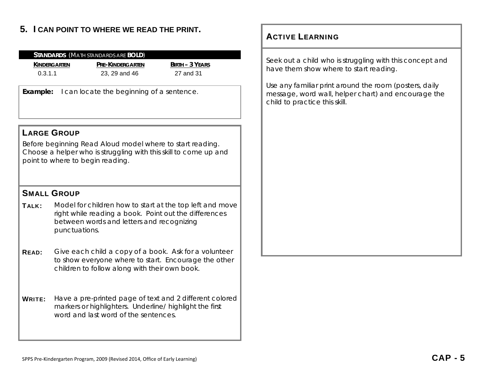## **5. I CAN POINT TO WHERE WE READ THE PRINT.**

| 0.3.1.1       | KINDERGARTEN                                                                                                                                                                            | <b>STANDARDS</b> (MATH STANDARDS ARE <b>BOLD</b> )<br>PRE-KINDERGARTEN<br>23, 29 and 46 |  | <b>BIRTH - 3 YEARS</b><br>27 and 31                                                                                |  |  |
|---------------|-----------------------------------------------------------------------------------------------------------------------------------------------------------------------------------------|-----------------------------------------------------------------------------------------|--|--------------------------------------------------------------------------------------------------------------------|--|--|
| Example:      |                                                                                                                                                                                         | I can locate the beginning of a sentence.                                               |  |                                                                                                                    |  |  |
|               | <b>LARGE GROUP</b><br>Before beginning Read Aloud model where to start reading.<br>Choose a helper who is struggling with this skill to come up and<br>point to where to begin reading. |                                                                                         |  |                                                                                                                    |  |  |
|               | <b>SMALL GROUP</b>                                                                                                                                                                      |                                                                                         |  |                                                                                                                    |  |  |
| TALK:         | Model for children how to start at the top left and move<br>right while reading a book. Point out the differences<br>between words and letters and recognizing<br>punctuations.         |                                                                                         |  |                                                                                                                    |  |  |
| <b>READ:</b>  |                                                                                                                                                                                         | children to follow along with their own book.                                           |  | Give each child a copy of a book. Ask for a volunteer<br>to show everyone where to start. Encourage the other      |  |  |
| <b>WRITE:</b> |                                                                                                                                                                                         | word and last word of the sentences.                                                    |  | Have a pre-printed page of text and 2 different colored<br>markers or highlighters. Underline/ highlight the first |  |  |

## ACTIVE LEARNING

Seek out a child who is struggling with this concept and have them show where to start reading.

Use any familiar print around the room (posters, daily message, word wall, helper chart) and encourage the child to practice this skill.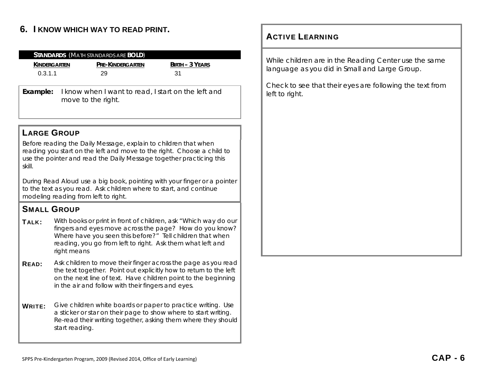## **6. I KNOW WHICH WAY TO READ PRINT.**

|              |                                      | <b>STANDARDS</b> (MATH STANDARDS ARE <b>BOLD</b> ) |                                                                                                                                                                                                                                                       |
|--------------|--------------------------------------|----------------------------------------------------|-------------------------------------------------------------------------------------------------------------------------------------------------------------------------------------------------------------------------------------------------------|
|              | <b>KINDERGARTEN</b>                  | <b>PRE-KINDERGARTEN</b>                            | <b>BIRTH - 3 YEARS</b>                                                                                                                                                                                                                                |
| 0.3.1.1      |                                      | 29                                                 | 31                                                                                                                                                                                                                                                    |
|              |                                      |                                                    |                                                                                                                                                                                                                                                       |
| Example:     |                                      |                                                    | I know when I want to read, I start on the left and                                                                                                                                                                                                   |
|              | move to the right.                   |                                                    |                                                                                                                                                                                                                                                       |
|              |                                      |                                                    |                                                                                                                                                                                                                                                       |
|              |                                      |                                                    |                                                                                                                                                                                                                                                       |
|              | <b>LARGE GROUP</b>                   |                                                    |                                                                                                                                                                                                                                                       |
|              |                                      |                                                    | Before reading the Daily Message, explain to children that when<br>reading you start on the left and move to the right. Choose a child to                                                                                                             |
| skill.       |                                      |                                                    | use the pointer and read the Daily Message together practicing this                                                                                                                                                                                   |
|              | modeling reading from left to right. |                                                    | During Read Aloud use a big book, pointing with your finger or a pointer<br>to the text as you read. Ask children where to start, and continue                                                                                                        |
|              | <b>SMALL GROUP</b>                   |                                                    |                                                                                                                                                                                                                                                       |
| TALK:        | right means                          |                                                    | With books or print in front of children, ask "Which way do our<br>fingers and eyes move across the page? How do you know?<br>Where have you seen this before?" Tell children that when<br>reading, you go from left to right. Ask them what left and |
| <b>READ:</b> |                                      | in the air and follow with their fingers and eyes. | Ask children to move their finger across the page as you read<br>the text together. Point out explicitly how to return to the left<br>on the next line of text. Have children point to the beginning                                                  |
| <b>WOITE</b> |                                      |                                                    | Give children white boards or paper to practice writing. Use                                                                                                                                                                                          |

WRITE: Give children white boards or paper to practice writing. Use a sticker or star on their page to show where to start writing. Re-read their writing together, asking them where they should start reading.

## ACTIVE LEARNING

While children are in the Reading Center use the same language as you did in Small and Large Group.

Check to see that their eyes are following the text from left to right.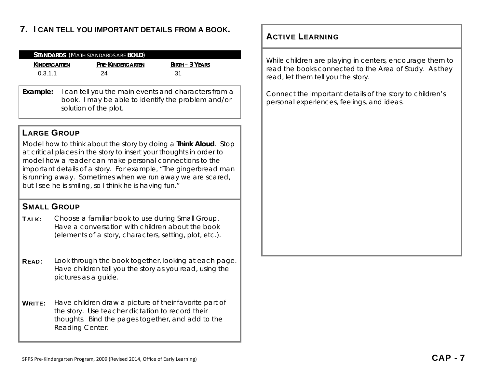## **7. I CAN TELL YOU IMPORTANT DETAILS FROM A BOOK.**

|               |                                                                                                                                                                                                                                                                                                                                                                                                      | <b>STANDARDS</b> (MATH STANDARDS ARE <b>BOLD</b> )                                                                                  |                                                                                                                                                                  |  |  |  |
|---------------|------------------------------------------------------------------------------------------------------------------------------------------------------------------------------------------------------------------------------------------------------------------------------------------------------------------------------------------------------------------------------------------------------|-------------------------------------------------------------------------------------------------------------------------------------|------------------------------------------------------------------------------------------------------------------------------------------------------------------|--|--|--|
|               | <b>KINDERGARTEN</b>                                                                                                                                                                                                                                                                                                                                                                                  | <b>PRE-KINDERGARTEN</b>                                                                                                             | <b>BIRTH - 3 YEARS</b>                                                                                                                                           |  |  |  |
| 0.3.1.1       |                                                                                                                                                                                                                                                                                                                                                                                                      | 24                                                                                                                                  | 31                                                                                                                                                               |  |  |  |
| Example:      |                                                                                                                                                                                                                                                                                                                                                                                                      | I can tell you the main events and characters from a<br>book. I may be able to identify the problem and/or<br>solution of the plot. |                                                                                                                                                                  |  |  |  |
|               | <b>LARGE GROUP</b>                                                                                                                                                                                                                                                                                                                                                                                   |                                                                                                                                     |                                                                                                                                                                  |  |  |  |
|               | Model how to think about the story by doing a <i>Think Aloud</i> . Stop<br>at critical places in the story to insert your thoughts in order to<br>model how a reader can make personal connections to the<br>important details of a story. For example, "The gingerbread man<br>is running away. Sometimes when we run away we are scared,<br>but I see he is smiling, so I think he is having fun." |                                                                                                                                     |                                                                                                                                                                  |  |  |  |
|               | <b>SMALL GROUP</b>                                                                                                                                                                                                                                                                                                                                                                                   |                                                                                                                                     |                                                                                                                                                                  |  |  |  |
| TALK:         |                                                                                                                                                                                                                                                                                                                                                                                                      |                                                                                                                                     | Choose a familiar book to use during Small Group.<br>Have a conversation with children about the book<br>(elements of a story, characters, setting, plot, etc.). |  |  |  |
| <b>READ:</b>  |                                                                                                                                                                                                                                                                                                                                                                                                      | pictures as a guide.                                                                                                                | Look through the book together, looking at each page.<br>Have children tell you the story as you read, using the                                                 |  |  |  |
| <b>WRITE:</b> | Reading Center.                                                                                                                                                                                                                                                                                                                                                                                      |                                                                                                                                     | Have children draw a picture of their favorite part of<br>the story. Use teacher dictation to record their<br>thoughts. Bind the pages together, and add to the  |  |  |  |

# ACTIVE LEARNING

While children are playing in centers, encourage them to read the books connected to the Area of Study. As they read, let them tell you the story.

Connect the important details of the story to children's personal experiences, feelings, and ideas.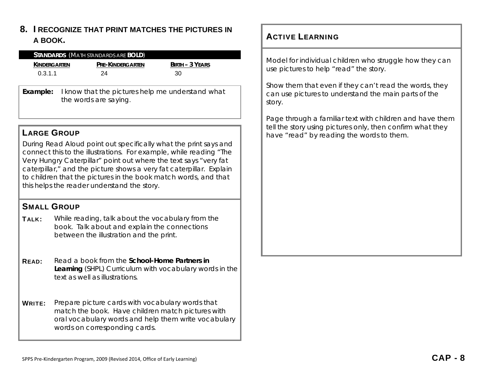## **8. I RECOGNIZE THAT PRINT MATCHES THE PICTURES IN A BOOK.**

| <b>STANDARDS</b> (MATH STANDARDS ARE <b>BOLD</b> ) |  |                                                                           |                        |  |  |  |
|----------------------------------------------------|--|---------------------------------------------------------------------------|------------------------|--|--|--|
| KINDERGARTEN                                       |  | <b>PRE-KINDERGARTEN</b>                                                   | <b>BIRTH - 3 YEARS</b> |  |  |  |
| 0.3.1.1                                            |  | 24                                                                        | 30                     |  |  |  |
| Example:                                           |  | I know that the pictures help me understand what<br>the words are saying. |                        |  |  |  |

## LARGE GROUP

During Read Aloud point out specifically what the print says and connect this to the illustrations. For example, while reading *"The Very Hungry Caterpillar*" point out where the text says "very fat caterpillar," and the picture shows a very fat caterpillar. Explain to children that the pictures in the book match words, and that this helps the reader understand the story.

## SMALL GROUP

- **TALK:** While reading, talk about the vocabulary from the book. Talk about and explain the connections between the illustration and the print.
- READ: Read a book from the *School-Home Partners in Learning* (SHPL) Curriculum with vocabulary words in the text as well as illustrations.
- **WRITE:** Prepare picture cards with vocabulary words that match the book. Have children match pictures with oral vocabulary words and help them write vocabulary words on corresponding cards.

## ACTIVE LEARNING

Model for individual children who struggle how they can use pictures to help "read" the story.

Show them that even if they can't read the words, they can use pictures to understand the main parts of the story.

Page through a familiar text with children and have them tell the story using pictures only, then confirm what they have "read" by reading the words to them.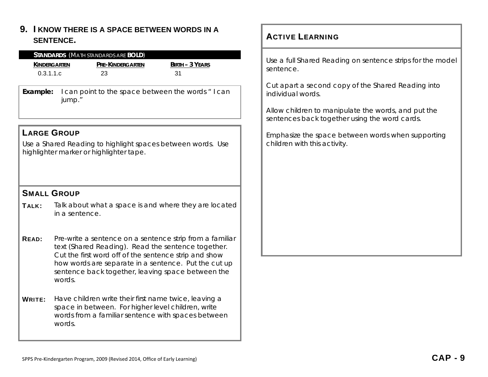## **9. I KNOW THERE IS A SPACE BETWEEN WORDS IN A SENTENCE.**

|               | <b>STANDARDS</b> (MATH STANDARDS ARE <b>BOLD</b> ) |                  |                                                             |
|---------------|----------------------------------------------------|------------------|-------------------------------------------------------------|
|               | <b>KINDERGARTEN</b>                                | PRE-KINDERGARTEN | <b>BIRTH - 3 YEARS</b>                                      |
| 0.3.1.1.c     |                                                    | 23               | 31                                                          |
|               |                                                    |                  |                                                             |
| Example:      | jump."                                             |                  | I can point to the space between the words "I can           |
|               |                                                    |                  |                                                             |
|               |                                                    |                  |                                                             |
|               | <b>LARGE GROUP</b>                                 |                  |                                                             |
|               |                                                    |                  |                                                             |
|               | highlighter marker or highlighter tape.            |                  | Use a Shared Reading to highlight spaces between words. Use |
|               |                                                    |                  |                                                             |
|               |                                                    |                  |                                                             |
|               |                                                    |                  |                                                             |
|               | <b>SMALL GROUP</b>                                 |                  |                                                             |
|               |                                                    |                  |                                                             |
| TALK:         |                                                    |                  | Talk about what a space is and where they are located       |
|               | in a sentence.                                     |                  |                                                             |
|               |                                                    |                  |                                                             |
| <b>READ:</b>  |                                                    |                  | Pre-write a sentence on a sentence strip from a familiar    |
|               |                                                    |                  | text (Shared Reading). Read the sentence together.          |
|               |                                                    |                  | Cut the first word off of the sentence strip and show       |
|               |                                                    |                  | how words are separate in a sentence. Put the cut up        |
|               |                                                    |                  | sentence back together, leaving space between the           |
|               | words.                                             |                  |                                                             |
| <b>WRITE:</b> |                                                    |                  | Have children write their first name twice, leaving a       |
|               |                                                    |                  | space in between. For higher level children, write          |
|               |                                                    |                  | words from a familiar sentence with spaces between          |

## ACTIVE LEARNING

Use a full Shared Reading on sentence strips for the model sentence.

Cut apart a second copy of the Shared Reading into individual words.

Allow children to manipulate the words, and put the sentences back together using the word cards.

Emphasize the space between words when supporting children with this activity.

words.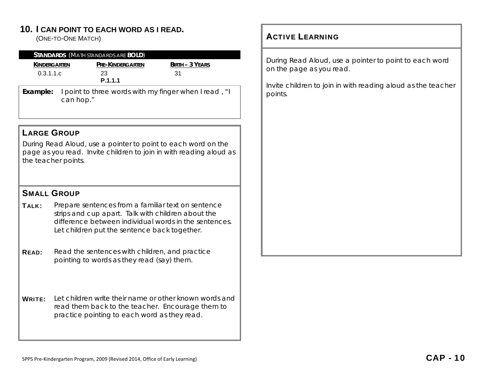## **10. I CAN POINT TO EACH WORD AS I READ.**

(ONE-TO-ONE MATCH)

|                     | <b>STANDARDS</b> (MATH STANDARDS ARE <b>BOLD</b> ) |                         |                                                       |  |  |  |  |
|---------------------|----------------------------------------------------|-------------------------|-------------------------------------------------------|--|--|--|--|
| <b>KINDERGARTEN</b> |                                                    | <b>PRE-KINDERGARTEN</b> | <b>BIRTH - 3 YEARS</b>                                |  |  |  |  |
| 0.3.1.1.c           |                                                    | 23                      | 31                                                    |  |  |  |  |
|                     |                                                    | P.1.1.1                 |                                                       |  |  |  |  |
| Example:            | can hop."                                          |                         | I point to three words with my finger when I read, "I |  |  |  |  |

## LARGE GROUP

During Read Aloud, use a pointer to point to each word on the page as you read. Invite children to join in with reading aloud as the teacher points.

## SMALL GROUP

- TALK: Prepare sentences from a familiar text on sentence strips and cup apart. Talk with children about the difference between individual words in the sentences. Let children put the sentence back together.
- **READ:** Read the sentences with children, and practice pointing to words as they read (say) them.

WRITE: Let children write their name or other known words and read them back to the teacher. Encourage them to practice pointing to each word as they read.

## ACTIVE LEARNING

During Read Aloud, use a pointer to point to each word on the page as you read.

Invite children to join in with reading aloud as the teacher points.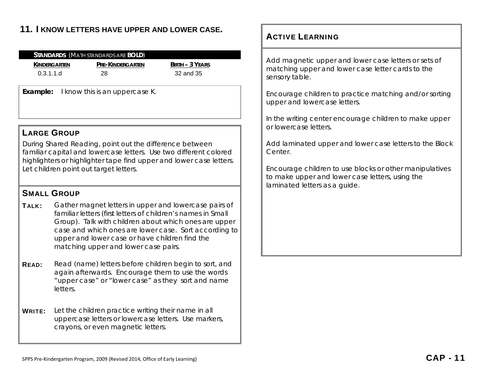### **11. I KNOW LETTERS HAVE UPPER AND LOWER CASE.**

**3 YEARS**

|              | <b>STANDARDS</b> (MATH STANDARDS ARE <b>BOLD</b> ) |               |
|--------------|----------------------------------------------------|---------------|
| KINDERGARTEN | <b>PRE-KINDERGARTEN</b>                            | BIRTH - 3 YEA |
| $0.3.1.1$ d  | 28                                                 | 32 and 35     |

**Example:** I know this is an uppercase K.

#### LARGE GROUP

During Shared Reading, point out the difference between familiar capital and lowercase letters. Use two different colored highlighters or highlighter tape find upper and lower case letters. Let children point out target letters.

### SMALL GROUP

- **TALK:** Gather magnet letters in upper and lowercase pairs of familiar letters (first letters of children's names in Small Group). Talk with children about which ones are upper case and which ones are lower case. Sort according to upper and lower case or have children find the matching upper and lower case pairs.
- READ: Read (name) letters before children begin to sort, and again afterwards. Encourage them to use the words "upper case" or "lower case" as they sort and name letters.
- WRITE: Let the children practice writing their name in all uppercase letters or lowercase letters. Use markers, crayons, or even magnetic letters.

### ACTIVE LEARNING

Add magnetic upper and lower case letters or sets of matching upper and lower case letter cards to the sensory table.

Encourage children to practice matching and/or sorting upper and lowercase letters.

In the writing center encourage children to make upper or lowercase letters.

Add laminated upper and lower case letters to the Block Center.

Encourage children to use blocks or other manipulatives to make upper and lower case letters, using the laminated letters as a guide.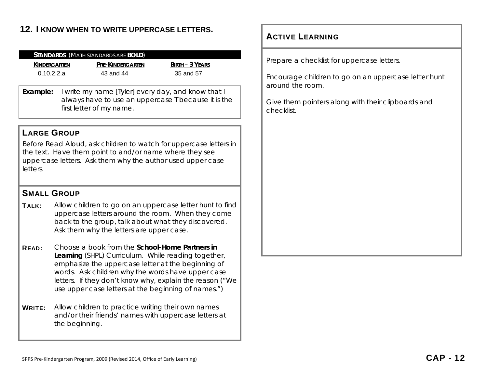## **12. I KNOW WHEN TO WRITE UPPERCASE LETTERS.**

|                                                                                                                                                                                                        |                                                                                                                                       | <b>STANDARDS</b> (MATH STANDARDS ARE <b>BOLD</b> ) |                        |  |  |
|--------------------------------------------------------------------------------------------------------------------------------------------------------------------------------------------------------|---------------------------------------------------------------------------------------------------------------------------------------|----------------------------------------------------|------------------------|--|--|
| KINDERGARTEN                                                                                                                                                                                           |                                                                                                                                       | PRE-KINDERGARTEN                                   | <b>BIRTH - 3 YEARS</b> |  |  |
| 0.10.2.2.a                                                                                                                                                                                             |                                                                                                                                       | 43 and 44                                          | 35 and 57              |  |  |
| Example:                                                                                                                                                                                               | I write my name [Tyler] every day, and know that I<br>always have to use an uppercase T because it is the<br>first letter of my name. |                                                    |                        |  |  |
|                                                                                                                                                                                                        |                                                                                                                                       |                                                    |                        |  |  |
| <b>LARGE GROUP</b>                                                                                                                                                                                     |                                                                                                                                       |                                                    |                        |  |  |
| Before Read Aloud, ask children to watch for uppercase letters in<br>the text. Have them point to and/or name where they see<br>uppercase letters. Ask them why the author used upper case<br>letters. |                                                                                                                                       |                                                    |                        |  |  |
| <b>SMALL GROUP</b>                                                                                                                                                                                     |                                                                                                                                       |                                                    |                        |  |  |

- TALK: Allow children to go on an uppercase letter hunt to find uppercase letters around the room. When they come back to the group, talk about what they discovered. Ask them why the letters are upper case.
- READ: Choose a book from the *School-Home Partners in Learning* (SHPL) Curriculum. While reading together, emphasize the uppercase letter at the beginning of words. Ask children why the words have upper case letters. If they don't know why, explain the reason ("We use upper case letters at the beginning of names.")
- **WRITE:** Allow children to practice writing their own names and/or their friends' names with uppercase letters at the beginning.

## ACTIVE LEARNING

Prepare a checklist for uppercase letters.

Encourage children to go on an uppercase letter hunt around the room.

Give them pointers along with their clipboards and checklist.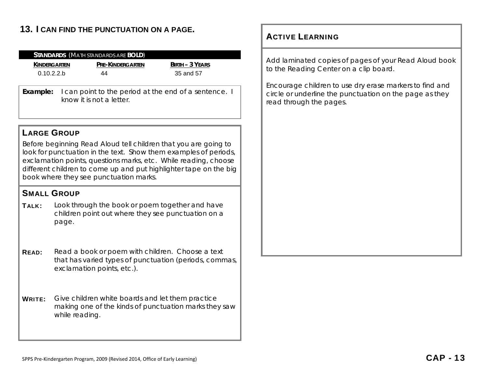## **13. I CAN FIND THE PUNCTUATION ON A PAGE.**

|                                                                                                                                                                                                                                                                                                                       |                    | <b>STANDARDS</b> (MATH STANDARDS ARE <b>BOLD</b> )                                |                                                                                                            |  |  |  |
|-----------------------------------------------------------------------------------------------------------------------------------------------------------------------------------------------------------------------------------------------------------------------------------------------------------------------|--------------------|-----------------------------------------------------------------------------------|------------------------------------------------------------------------------------------------------------|--|--|--|
| <b>KINDERGARTEN</b><br>0.10.2.2.b                                                                                                                                                                                                                                                                                     |                    | PRE-KINDERGARTEN<br>44                                                            | <b>BIRTH - 3 YEARS</b><br>35 and 57                                                                        |  |  |  |
| Example:                                                                                                                                                                                                                                                                                                              |                    | I can point to the period at the end of a sentence. I<br>know it is not a letter. |                                                                                                            |  |  |  |
|                                                                                                                                                                                                                                                                                                                       | <b>LARGE GROUP</b> |                                                                                   |                                                                                                            |  |  |  |
| Before beginning Read Aloud tell children that you are going to<br>look for punctuation in the text. Show them examples of periods,<br>exclamation points, questions marks, etc. While reading, choose<br>different children to come up and put highlighter tape on the big<br>book where they see punctuation marks. |                    |                                                                                   |                                                                                                            |  |  |  |
| <b>SMALL GROUP</b>                                                                                                                                                                                                                                                                                                    |                    |                                                                                   |                                                                                                            |  |  |  |
| TALK:                                                                                                                                                                                                                                                                                                                 | page.              |                                                                                   | Look through the book or poem together and have<br>children point out where they see punctuation on a      |  |  |  |
| <b>READ:</b>                                                                                                                                                                                                                                                                                                          |                    | exclamation points, etc.).                                                        | Read a book or poem with children. Choose a text<br>that has varied types of punctuation (periods, commas, |  |  |  |
| <b>WRITE:</b>                                                                                                                                                                                                                                                                                                         | while reading.     |                                                                                   | Give children white boards and let them practice<br>making one of the kinds of punctuation marks they saw  |  |  |  |

### ACTIVE LEARNING

Add laminated copies of pages of your Read Aloud book to the Reading Center on a clip board.

Encourage children to use dry erase markers to find and circle or underline the punctuation on the page as they read through the pages.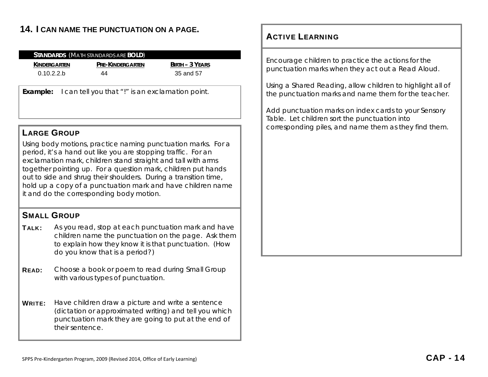## **14. I CAN NAME THE PUNCTUATION ON A PAGE.**

|                                                                                                                                                                                                                                                                                                                                                                                                                                               |  | <b>STANDARDS</b> (MATH STANDARDS ARE <b>BOLD</b> ) |  |                        |  |  |
|-----------------------------------------------------------------------------------------------------------------------------------------------------------------------------------------------------------------------------------------------------------------------------------------------------------------------------------------------------------------------------------------------------------------------------------------------|--|----------------------------------------------------|--|------------------------|--|--|
| <u>KINDERGARTEN</u>                                                                                                                                                                                                                                                                                                                                                                                                                           |  | PRE-KINDERGARTEN                                   |  | <b>BIRTH - 3 YEARS</b> |  |  |
| 0.10.2.2.b                                                                                                                                                                                                                                                                                                                                                                                                                                    |  | 44                                                 |  | 35 and 57              |  |  |
|                                                                                                                                                                                                                                                                                                                                                                                                                                               |  |                                                    |  |                        |  |  |
| Example:                                                                                                                                                                                                                                                                                                                                                                                                                                      |  | I can tell you that "!" is an exclamation point.   |  |                        |  |  |
|                                                                                                                                                                                                                                                                                                                                                                                                                                               |  |                                                    |  |                        |  |  |
|                                                                                                                                                                                                                                                                                                                                                                                                                                               |  |                                                    |  |                        |  |  |
|                                                                                                                                                                                                                                                                                                                                                                                                                                               |  |                                                    |  |                        |  |  |
|                                                                                                                                                                                                                                                                                                                                                                                                                                               |  |                                                    |  |                        |  |  |
| <b>LARGE GROUP</b>                                                                                                                                                                                                                                                                                                                                                                                                                            |  |                                                    |  |                        |  |  |
| Using body motions, practice naming punctuation marks. For a<br>period, it's a hand out like you are stopping traffic. For an<br>exclamation mark, children stand straight and tall with arms<br>together pointing up. For a question mark, children put hands<br>out to side and shrug their shoulders. During a transition time,<br>hold up a copy of a punctuation mark and have children name<br>it and do the corresponding body motion. |  |                                                    |  |                        |  |  |
| <b>SMALL GROUP</b>                                                                                                                                                                                                                                                                                                                                                                                                                            |  |                                                    |  |                        |  |  |

**TALK:** As you read, stop at each punctuation mark and have children name the punctuation on the page. Ask them to explain how they know it is that punctuation. (*How do you know that is a period?*)

- **READ:** Choose a book or poem to read during Small Group with various types of punctuation.
- **WRITE:** Have children draw a picture and write a sentence (dictation or approximated writing) and tell you which punctuation mark they are going to put at the end of their sentence.

### ACTIVE LEARNING

Encourage children to practice the actions for the punctuation marks when they act out a Read Aloud.

Using a Shared Reading, allow children to highlight all of the punctuation marks and name them for the teacher.

Add punctuation marks on index cards to your Sensory Table. Let children sort the punctuation into corresponding piles, and name them as they find them.